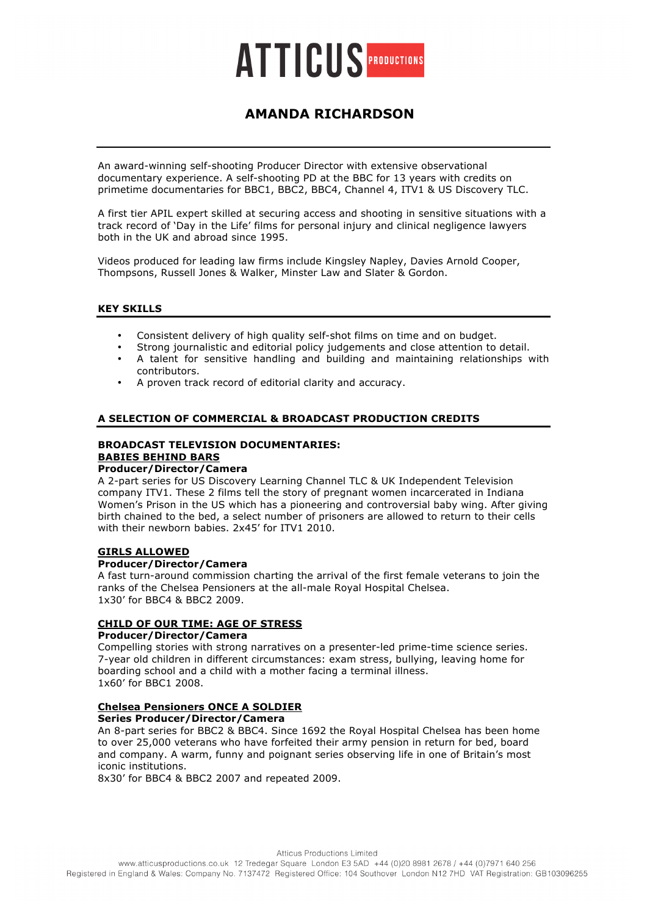

# **AMANDA RICHARDSON**

An award-winning self-shooting Producer Director with extensive observational documentary experience. A self-shooting PD at the BBC for 13 years with credits on primetime documentaries for BBC1, BBC2, BBC4, Channel 4, ITV1 & US Discovery TLC.

A first tier APIL expert skilled at securing access and shooting in sensitive situations with a track record of 'Day in the Life' films for personal injury and clinical negligence lawyers both in the UK and abroad since 1995.

Videos produced for leading law firms include Kingsley Napley, Davies Arnold Cooper, Thompsons, Russell Jones & Walker, Minster Law and Slater & Gordon.

# **KEY SKILLS**

- Consistent delivery of high quality self-shot films on time and on budget.
- Strong journalistic and editorial policy judgements and close attention to detail.
- A talent for sensitive handling and building and maintaining relationships with contributors.
- A proven track record of editorial clarity and accuracy.

#### **A SELECTION OF COMMERCIAL & BROADCAST PRODUCTION CREDITS**

#### **BROADCAST TELEVISION DOCUMENTARIES: BABIES BEHIND BARS Producer/Director/Camera**

A 2-part series for US Discovery Learning Channel TLC & UK Independent Television company ITV1. These 2 films tell the story of pregnant women incarcerated in Indiana Women's Prison in the US which has a pioneering and controversial baby wing. After giving birth chained to the bed, a select number of prisoners are allowed to return to their cells with their newborn babies. 2x45' for ITV1 2010.

### **GIRLS ALLOWED**

#### **Producer/Director/Camera**

A fast turn-around commission charting the arrival of the first female veterans to join the ranks of the Chelsea Pensioners at the all-male Royal Hospital Chelsea. 1x30' for BBC4 & BBC2 2009.

### **CHILD OF OUR TIME: AGE OF STRESS**

### **Producer/Director/Camera**

Compelling stories with strong narratives on a presenter-led prime-time science series. 7-year old children in different circumstances: exam stress, bullying, leaving home for boarding school and a child with a mother facing a terminal illness. 1x60' for BBC1 2008.

# **Chelsea Pensioners ONCE A SOLDIER**

**Series Producer/Director/Camera**

An 8-part series for BBC2 & BBC4. Since 1692 the Royal Hospital Chelsea has been home to over 25,000 veterans who have forfeited their army pension in return for bed, board and company. A warm, funny and poignant series observing life in one of Britain's most iconic institutions.

8x30' for BBC4 & BBC2 2007 and repeated 2009.